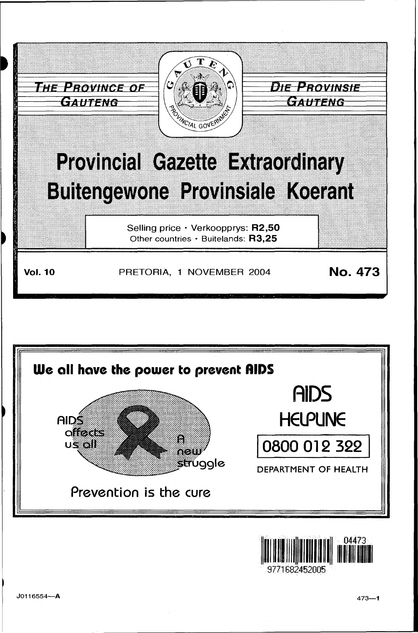



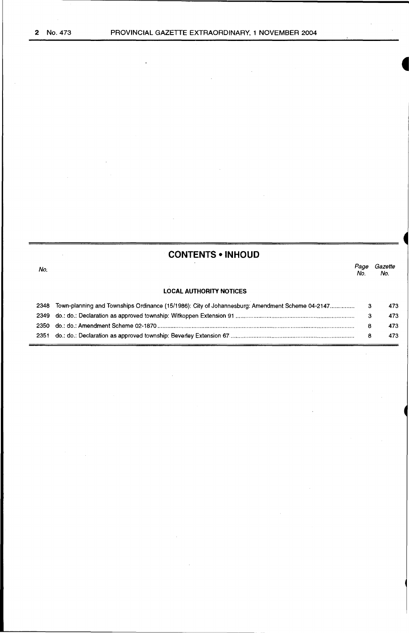l.

l,

l,

| <b>CONTENTS • INHOUD</b> |                                                                                                |            |                |
|--------------------------|------------------------------------------------------------------------------------------------|------------|----------------|
| No:                      |                                                                                                | Page<br>Nο | Gazette<br>No. |
|                          | <b>LOCAL AUTHORITY NOTICES</b>                                                                 |            |                |
|                          |                                                                                                |            | 473            |
|                          |                                                                                                |            | 473            |
|                          |                                                                                                | 8          | 473            |
|                          | 2351 do.: do.: Declaration as approved township: Beverley Extension 67……………………………………………………………… | 8          | 473            |

 $\ddot{\phantom{0}}$ 

 $\hat{\mathcal{L}}$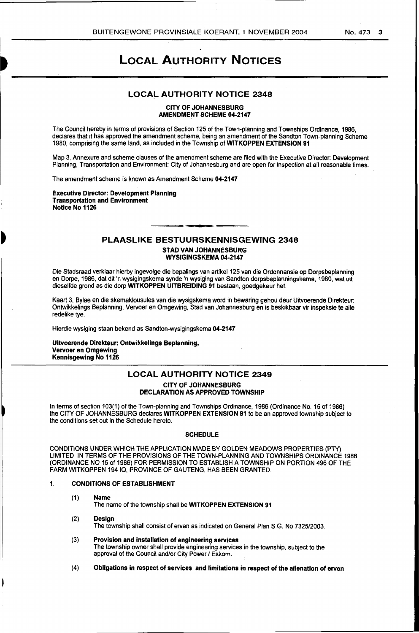# LOCAL AUTHORITY NOTICES

### LOCAL AUTHORITY NOTICE 2348

#### CITY OF JOHANNESBURG AMENDMENT SCHEME 04-2147

The Council hereby in terms of provisions of Section 125 of the Town-planning and Townships Ordinance, 1986, declares that it has approved the amendment scheme, being an amendment of the Sandton Town-planning Scheme 1980, comprising the same land, as included in the Township ofWITKOPPEN EXTENSION 91

Map 3, Annexure and scheme clauses of the amendment scheme are filed with the Executive Director: Development Planning, Transportation and Environment: City of Johannesburg and are open for inspection at all reasonable times.

The amendment scheme is known as Amendment Scheme 04-2147

Executive Director: Development Planning Transportation and Environment Notice No 1126

**)**<br>-

## PLAASLIKE BESTUURSKENNISGEWING 2348 STAD VAN JOHANNESBURG WYSIGINGSKEMA 04-2147

Die Stadsraad verklaar hierby ingevolge die bepalings van artikel 125 van die Ordonnansie op Dorpsbeplanning en Dorpe, 1986, dat dit 'n wysigingskema synde 'n wysiging van Sandton dorpsbeplanningskema, 1980, wat uit dieselfde grond as die dorp WITKOPPEN UITBREIDING 91 bestaan, goedgekeur het.

Kaart 3, Bylae en die skemaklousules van die wysigskema word in bewaring gehou deur Uitvoerende Direkteur: Ontwikkelings Beplanning, Vervoer en Omgewing, Stad van Johannesburg en is beskikbaar vir inspeksie te aile redelike tye.

Hierdie wysiging staan bekend as Sandton-wysigingskema 04-2147

Uitvoerende Direkteur: Ontwikkelings Beplanning, Vervoer en Omgewing Kennisgewing No 1126

# LOCAL AUTHORITY NOTICE 2349 CITY OF JOHANNESBURG DECLARATION AS APPROVED TOWNSHIP

In terms of section 103(1) of the Town-planning and Townships Ordinance, 1986 (Ordinance No. 15 of 1986) the CITY OF JOHANNESBURG declares WITKOPPEN EXTENSION 91 to be an approved township subject to the conditions set out in the Schedule hereto.

#### SCHEDULE

CONDITIONS UNDER WHICH THE APPLICATION MADE BY GOLDEN MEADOWS PROPERTIES (PTY) LIMITED IN TERMS OF THE PROVISIONS OF THE TOWN-PLANNING AND TOWNSHIPS ORDINANCE 1986 (ORDINANCE NO 15 of 1986) FOR PERMISSION TO ESTABLISH A TOWNSHIP ON PORTION 496 OF THE FARM WITKOPPEN 194 IQ, PROVINCE OF GAUTENG, HAS BEEN GRANTED.

#### 1. CONDITIONS OF ESTABLISHMENT

(1) Name

The name of the township shall be WITKOPPEN EXTENSION 91

- (2) Design The township shall consist of erven as indicated on General Plan S.G. No 7325/2003.
- (3) Provision and installation of engineering services The township owner shall provide engineering services in the township, subject to the approval of the Council and/or City Power / Eskom.
- ( 4) Obligations in respect of services and limitations in respect of the alienation of erven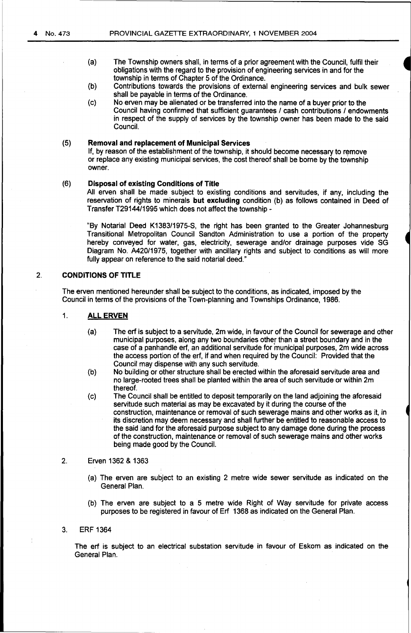- (a} The Township owners shall, in terms of a prior agreement with the Council, fulfil their obligations with the regard to the provision of engineering services in and for the township in terms of Chapter 5 of the Ordinance.
- {b) Contributions towards the provisions of external engineering services and bulk sewer shall be payable in terms of the Ordinance.
- (c) No erven may be alienated or be transferred into the name of a buyer prior to the Council having confirmed that sufficient quarantees / cash contributions / endowments in respect of the supply of services by the township owner has been made to the said Council.

# (5} **Removal and replacement of Municipal Services**

If, by reason of the establishment of the township, it should become necessary to remove or replace any existing municipal services, the cost thereof shall be borne by the township owner.

### (6} **Disposal of existing Conditions of Title**

All erven shall be made subject to existing conditions and servitudes, if any, including the reservation of rights to minerals **but excluding** condition (b) as follows contained in Deed of Transfer T29144/1995 which does not affect the township-

"By Notarial Deed K1383/1975-S, the right has been granted to the Greater Johannesburg Transitional Metropolitan Council Sandton Administration to use a portion of the property hereby conveyed for water, gas, electricity, sewerage and/or drainage purposes vide SG Diagram No. A420/1975, together with ancillary rights and subject to conditions as will more fully appear on reference to the said notarial deed."

# 2. **CONDITIONS OF TITLE**

The erven mentioned hereunder shall be subject to the conditions, as indicated, imposed by the Council in terms of the provisions of the Town-planning and Townships Ordinance, 1986.

### 1. **ALLERVEN**

- (a} The erf is subject to a servitude, 2m wide, in favour of the Council for sewerage and other municipal purposes, along any two boundaries other than a street boundary and in the case of a panhandle erf, an additional servitude for municipal purposes, 2m wide across the access portion of the erf, if and when required by the Council: Provided that the Council may dispense with any such servitude.
- (b) No building or other structure shall be erected within the aforesaid servitude area and no large-rooted trees shall be planted within the area of such servitude or within 2m thereof.
- (c) The Council shall be entitled to deposit temporarily on the land adjoining the aforesaid servitude such material as may be excavated by it during the course of the construction, maintenance or removal of such sewerage mains and other works as it, in its discretion may deem necessary and shall further be entitled to reasonable access to the said land for the aforesaid purpose subject to any damage done during the process of the construction, maintenance or removal of such sewerage mains and other works being made good by the Council.

# 2. Erven 1362 & 1363

- (a} The erven are subject to an existing 2 metre wide sewer servitude as indicated on the General Plan.
- (b) The erven are subject to a 5 metre wide Right of Way servitude for private access purposes to be registered in favour of Erf 1368 as indicated on the General Plan.

### 3. ERF 1364

The erf is subject to an electrical substation servitude in favour of Eskom as indicated on the General Plan.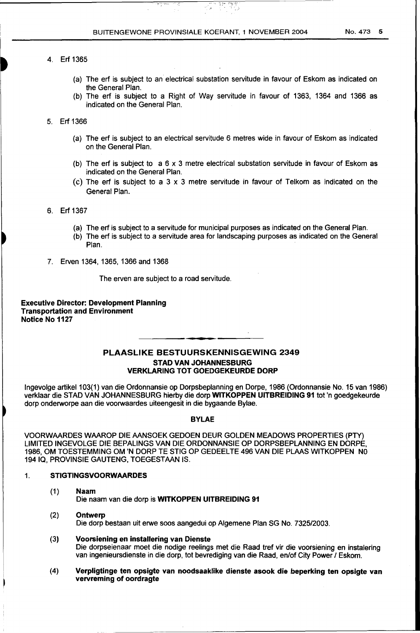- (a) The erf is subject to an electrical substation servitude in favour of Eskom as indicated on the General Plan.
- (b) The erf is subject to a Right of Way servitude in favour of 1363, 1364 and 1366 as indicated on the General Plan.

5. Erf 1366

- (a) The erf is subject to an electrical servitude 6 metres wide in favour of Eskom as indicated on the General Plan.
- (b) The erf is subject to  $a \ 6 \times 3$  metre electrical substation servitude in favour of Eskom as indicated on the General Plan.
- (c) The erf is subject to a 3 x 3 metre servitude in favour of Telkom as indicated on the General Plan.
- 6. Erf 1367
	- (a) The erf is subject to a servitude for municipal purposes as indicated on the General Plan.
	- (b) The erf is subject to a servitude area for landscaping purposes as indicated on the General Plan.
- 7. Erven 1364, 1365, 1366 and 1368

The erven are subject to a road servitude.

Executive Director: Development Planning Transportation and Environment Notice No 1127

# PLAASLIKE BESTUURSKENNISGEWING 2349 STAD VAN JOHANNESBURG VERKLARING TOT GOEDGEKEURDE DORP

lngevolge artikel103(1) van die Ordonnansie op Dorpsbeplanning en Dorpe, 1986 (Ordonnansie No. 15 van 1986) verklaar die STAD VAN JOHANNESBURG hierby die dorp WITKOPPEN UITBREIDING 91 tot 'n goedgekeurde dorp onderworpe aan die voorwaardes uiteengesit in die bygaande Bylae.

# BYLAE

VOORWAARDES WAAROP DIE AANSOEK GEDOEN DEUR GOLDEN MEADOWS PROPERTIES (PTY) LIMITED INGEVOLGE DIE BEPALINGS VAN DIE ORDONNANSIE OP DORPSBEPLANNING EN DORPE, 1986, OM TOESTEMMING OM 'N DORP TE STIG OP GEDEELTE 496 VAN DIE PLAAS WITKOPPEN NO 194 IQ, PROVINSIE GAUTENG, TOEGESTAAN IS.

# 1. STIGTINGSVOORWAARDES

- (1) Naam Die naam van die dorp is WITKOPPEN UITBREIDING 91
- (2) Ontwerp Die dorp bestaan uit erwe soos aangedui op Algemene Plan SG No. 7325/2003.
- (3) Voorsiening en installering van Dienste Die dorpseienaar moet die nodige reelings met die Raad tref vir die voorsiening en instalering van ingenieursdienste in die dorp, tot bevrediging van die Raad, en/of City Power 1 Eskom.
- (4) Verpligtinge ten opsigte van noodsaaklike dienste asook die beperking ten opsigte van vervreming of oordragte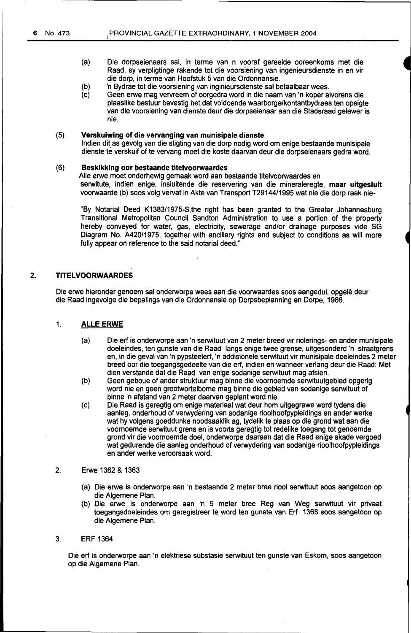- (a) Die dorpseienaars sal, in terme van n vooraf gereelde ooreenkoms met die Raad, sy verpligtinge rakende tot die voorsiening van ingenieursdienste in en vir die dorp, in terme van Hoofstuk 5 van die Ordonnansie.
- (b) 'n Bydrae tot die voorsiening van inginieursdienste sal betaalbaar wees.
- $(c)$ Geen erwe mag vervreem of oorgedra word in die naam van 'n koper alvorens die plaaslike bestuur bevestig het dat voldoende waarborge/kontantbydraes ten opsigte van die voorsiening van dienste deur die dorpseienaar aan die Stadsraad gelewer is nie.

# (5) **Verskuiwing of die vervanging van munisipale dienste** ..

lndien dit, as gevolg van die stigting van die dorp nodig word om enige bestaande munisipale dienste te verskuif of te vervang moet die koste daarvan deur die dorpseienaars gedra word.

#### (6) **Beskikking oor bestaande titelvoorwaardes**

Aile erwe moet onderhewig gemaak word aan bestaande titelvoorwaardes en serwitute, indien enige, insluitende die reservering van die mineraleregte, **maar uitgesluit**  voorwaarde (b) soos volg vervat in Akte van Transport T29144/1995 wat nie die dorp raak nie-

"By Notarial Deed K1383/1975-S,the right has been granted to the Greater Johannesburg Transitional Metropolitan Council Sandton Administration to use a portion of the property hereby conveyed for water, gas, electricity, sewerage and/or drainage purposes vide SG Diagram No. A420/1975, together with ancillary rights and subject to conditions as will more fully appear on reference to the said notarial deed.'

### **2. TITELVOORWAARDES**

Die erwe hieronder genoem sal onderworpe wees aan die voorwaardes soos aangedui, opgelê deur die Raad ingevolge die bepalings van die Ordonnansie op Dorpsbeplanning en Dorpe, 1986.

### 1. **ALLE ERWE**

- (a) Die erf is onderworpe aan 'n serwituut van 2 meter breed vir riolerings- en ander munisipale doeleindes, ten gunste van die Raad langs enige twee grense, uitgesonderd 'n straatgrens en, in die geval van 'n pypsteelerf, 'n addisionele serwituut vir munisipale doeleindes 2 meter breed oor die toegangsgedeelte van die erf, indien en wanneer verlang deur die Raad: Met dien verstande dat die Raad van enige sodanige serwituut mag afsien.
- (b) Geen geboue of ander struktuur mag binne die voornoemde serwituutgebied opgerig word nie en geen grootwortelbome mag binne die gebied van sodanige serwituut of binne 'n afstand van 2 meter daarvan geplant word nie.
- (c) Die Raad is geregtig om enige materiaal wat deur hom uitgegrawe word tydens die aanleg, onderhoud of verwydering van sodanige rioolhoofpypleidings en ander werke wat hy volgens goeddunke noodsaaklik ag, tydelik te plaas op die grand wat aan die voornoemde serwituut grens en is voorts geregtig tot redelike toegang tot genoemde grand vir die voornoemde doel, onderworpe daaraan dat die Raad enige skade vergoed wat gedurende die aanleg onderhoud of verwydering van sodanige rioolhoofpypleidings en ander werke veroorsaak word.
- 2. Erwe 1362 & 1363
	- (a) Die erwe is onderworpe aan 'n bestaande 2 meter bree riool serwituut soos aangetoon op die Algemene Plan.
	- (b) Die erwe is onderworpe aan 'n 5 meter bree Reg van Weg serwituut vir privaat toegangsdoeleindes om geregistreer te word ten gunste van Erf 1368 soos aangetoon op die Algemene Plan.

### 3. ERF 1364

Die erf is onderworpe aan 'n elektriese substasie serwituut ten gunste van Eskom, soos aangetoon op die Algemene Plan.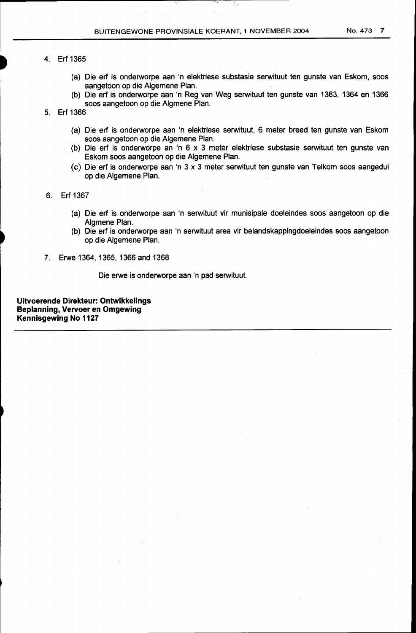# 4. Erf 1365

- (a) Die erf is onderworpe aan 'n elektriese substasie serwituut ten gunste van Eskom, soos aangetoon op die Algemene Plan.
- (b) Die erf is onderworpe aan 'n Reg van Weg serwituut ten gunste van 1363, 1364 en 1366 soos aangetoon op die Algmene Plan.
- 5. Erf 1366
	- (a) Die erf is onderworpe aan 'n elektriese serwituut, 6 meter breed ten gunste van Eskom soos aangetoon op die Algemene Plan.
	- (b) Die erf is onderworpe an 'n 6 x 3 meter elektriese substasie serwituut ten gunste van Eskom soos aangetoon op die Algemene Plan.
	- (c) Die erf is onderworpe aan 'n 3 x 3 meter serwituut ten gunste van Telkom soos aangedui op die Algemene Plan.
- 6. Erf 1367
	- (a) Die erf is onderworpe aan 'n serwituut vir munisipale doeleindes soos aangetoon op die Algmene Plan.
	- (b) Die erf is onderworpe aan 'n serwituut area vir belandskappingdoeleindes soos aangetoon op die Algemene Plan.
- 7. Erwe 1364, 1365, 1366 and 1368

Die erwe is onderworpe aan 'n pad serwituut.

**Uitvoerende Direkteur: Ontwikkelings Beplanning, Vervoer en Omgewing Kennisgewing No 1127**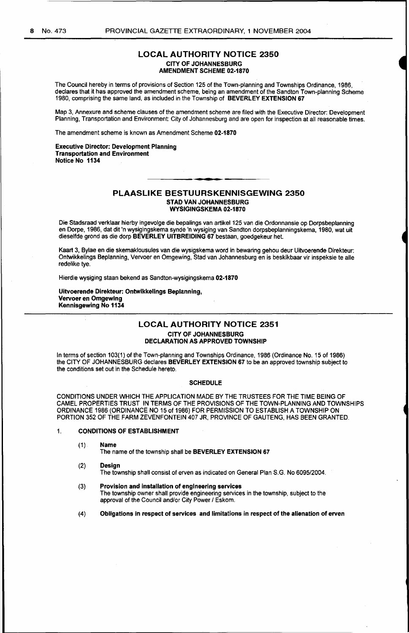# LOCAL AUTHORITY NOTICE 2350 CITY OF JOHANNESBURG AMENDMENT SCHEME 02-1870

The Council hereby in terms of provisions of Section 125 of the Town-planning and Townships Ordinance, 1986, declares that it has approved the amendment scheme, being an amendment of the Sandton Town-planning Scheme 1980, comprising the same land, as included in the Township of BEVERLEY EXTENSION 67

Map 3, Annexure and scheme clauses of the amendment scheme are filed with the Executive Director: Development Planning, Transportation and Environment: City of Johannesburg and are open for inspection at all reasonable times.

The amendment scheme is known as Amendment Scheme 02-1870

Executive Director: Development Planning Transportation and Environment Notice No 1134

#### PLAASLIKE BESTUURSKENNISGEWING 2350 STAD VAN JOHANNESBURG WYSIGINGSKEMA 02-1870

Die Stadsraad verklaar hierby ingevolge die bepalings van artikel 125 van die Ordonnansie op Dorpsbeplanning en Dorpe, 1986, dat dit 'n wysigingskema synde 'n wysiging van Sandton dorpsbeplanningskema, 1980, wat uit dieselfde grond as die dorp BEVERLEY UITBREIDING 67 bestaan, goedgekeur het.

Kaart 3, Bylae en die skemaklousules van die wysigskema word in bewaring gehou deur Uitvoerende Direkteur: Ontwikkelings Beplanning, Vervoer en Omgewing, Stad van Johannesburg en is beskikbaar vir inspeksie te aile redelike tye.

Hierdie wysiging staan bekend as Sandton-wysigingskema 02-1870

Uitvoerende Direkteur: Ontwlkkellngs Beplanning, Vervoer en Omgewlng Kennisgewing No 1134

### LOCAL AUTHORITY NOTICE 2351 CITY OF JOHANNESBURG DECLARATION AS APPROVED TOWNSHIP

In terms of section 103(1) of the Town-planning and Townships Ordinance, 1986 (Ordinance No. 15 of 1986) the CITY OF JOHANNESBURG declares BEVERLEY EXTENSiON 67 to be an approved township subject to the conditions set out in the Schedule hereto.

#### **SCHEDULE**

CONDITIONS UNDER WHICH THE APPLICATION MADE BY THE TRUSTEES FOR THE TIME BEING OF CAMEL PROPERTIES TRUST IN TERMS OF THE PROVISIONS OF THE TOWN-PLANNING AND TOWNSHIPS ORDINANCE 1986 (ORDINANCE NO 15 of 1986) FOR PERMISSION TO ESTABLISH A TOWNSHIP ON PORTION 352 OF THE FARM ZEVENFONTEIN 407 JR, PROVINCE OF GAUTENG, HAS BEEN GRANTED.

#### 1. CONDITIONS OF ESTABLISHMENT

(1) Name

The name of the township shall be BEVERLEY EXTENSION 67

- (2) Design The township shall consist of erven as indicated on General Plan S.G. No 6095/2004.
- (3) Provision and installation of engineering services The township owner shall provide engineering services in the township, subject to the approval of the Council and/or City Power / Eskom.
- (4) Obligations in respect of services and limitations in respect of the alienation of erven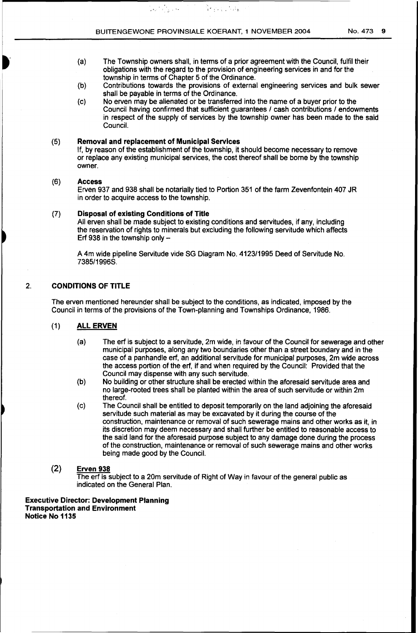an an taobh<br>Bhailtean

(a) The Township owners shall, in terms of a prior agreement with the Council, fulfil their obligations with the regard to the provision of engineering services in and for the township in terms of Chapter 5 of the Ordinance.

 $\mathcal{P}_{\mathcal{C}}$  , is a set  $\mathcal{C}_{\mathcal{C}}$ 

- (b) Contributions towards the provisions of external engineering services and bulk sewer shall be payable in terms of the Ordinance.
- (c) No erven may be alienated or be transferred into the name of a buyer prior to the Council having confirmed that sufficient guarantees / cash contributions / endowments in respect of the supply of services by the township owner has been made to the said Council.

### (5) **Removal and replacement of Municipal Services**

If, by reason of the establishment of the township, it should become necessary to remove or replace any existing municipal services, the cost thereof shall be borne by the township owner.

### (6) **Access**

Erven 937 and 938 shall be notarially tied to Portion 351 of the farm Zevenfontein 407 JR in order to acquire access to the township.

### (7) **Disposal of existing Conditions of Title**

All erven shall be made subject to existing conditions and servitudes, if any, including the reservation of rights to minerals but excluding the following servitude which affects Erf 938 in the township only  $-$ 

A 4m wide pipeline Servitude vide SG Diagram No. 4123/1995 Deed of Servitude No. 7385/1996S.

# 2. **CONDITIONS OF TITLE**

The erven mentioned hereunder shall be subject to the conditions, as indicated, imposed by the Council in terms of the provisions of the Town-planning and Townships Ordinance, 1986.

# (1) **ALL ERVEN**

- (a) The erf is subject to a servitude, 2m wide, in favour of the Council for sewerage and other municipal purposes, along any two boundaries other than a street boundary and in the case of a panhandle erf, an additional servitude for municipal purposes, 2m wide across the access portion of the erf, if and when required by the Council: Provided that the Council may dispense with any such servitude.
- (b) No building or other structure shall be erected within the aforesaid servitude area and no large-rooted trees shall be planted within the area of such servitude or within 2m thereof.
- (c) The Council shall be entitled to deposit temporarily on the land adjoining the aforesaid servitude such material as may be excavated by it during the course of the construction, maintenance or removal of such sewerage mains and other works as it, in its discretion may deem necessary and shall further be entitled to reasonable access to the said land for the aforesaid purpose subject to any damage done during the process of the construction, maintenance or removal of such sewerage mains and other works being made good by the Council.

# (2) **Erven 938**

The erf is subject to a 20m servitude of Right of Way in favour of the general public as indicated on the General Plan.

#### **Executive Director: Development Planning Transportation and Environment Notice No 1135**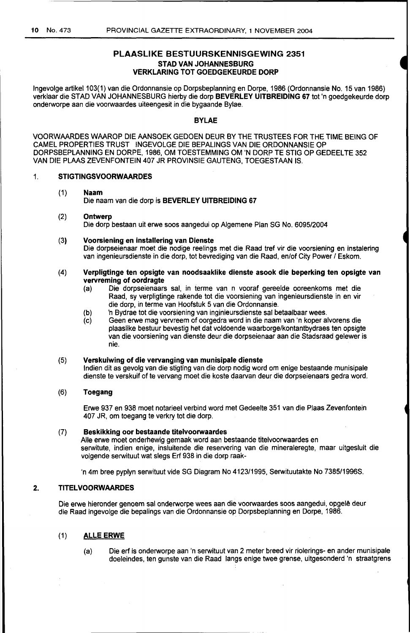# PLAASLIKE BESTUURSKENNISGEWING 2351 STAD VAN JOHANNESBURG VERKLARING TOT GOEDGEKEURDE DORP

Ingevolge artikel 103(1) van die Ordonnansie op Dorpsbeplanning en Dorpe, 1986 (Ordonnansie No. 15 van 1986) verklaar die STAD VAN JOHANNESBURG hierby die dorp BEVERLEY UITBREIDING 67 tot 'n goedgekeurde dorp onderworpe aan die voorwaardes uiteengesit in die bygaande Bylae.

# BYLAE

VOORWMRDES WMROP DIE AANSOEK GEDOEN DEUR BY THE TRUSTEES FOR THE TIME BEING OF CAMEL PROPERTIES TRUST INGEVOLGE DIE BEPALINGS VAN DIE ORDONNANSIE OP DORPSBEPLANNING EN DORPE, 1986, OM TOESTEMMING OM 'N DORP TE STIG OP GEDEELTE 352 VAN DIE PLAAS ZEVENFONTEIN 407 JR PROVINSIE GAUTENG, TOEGESTAAN IS.

### 1. STIGTINGSVOORWAARDES

# (1) Naam

Die naam van die dorp is BEVERLEY UITBREIDING 67

### (2) Ontwerp

Die dorp bestaan uit erwe soos aangedui op Algemene Plan SG No. 6095/2004

(3) Voorsiening en installering van Dienste Die dorpseienaar moet die nodige reelings met die Raad tref vir die voorsiening en instalering van ingenieursdienste in die dorp, tot bevrediging van die Raad, en/of City Power / Eskom.

### (4) Verpligtinge ten opsigte van noodsaaklike dienste asook die beperking ten opsigte van vervreming of oordragte

- (a) Die dorpseienaars sal, in terme van n vooraf gereelde ooreenkoms met die Raad, sy verpligtinge rakende tot die voorsiening van ingenieursdienste in en vir die dorp, in terme van Hoofstuk 5 van die Ordonnansie.
- (b) 'n Bydrae tot die voorsiening van inginieursdienste sal betaalbaar wees.
- (c) Geen erwe mag vervreem of oorgedra word in die naam van 'n koper alvorens die plaaslike bestuur bevestig het dat voldoende waarborge/kontantbydraes ten opsigte van die voorsiening van dienste deur die dorpseienaar aan die Stadsraad gelewer is nie.

# (5) Verskuiwing of die vervanging van munisipale dienste

lndien dit as gevolg van die stigting van die dorp nodig word om enige bestaande munisipale dienste te verskuif of te vervang moet die koste daarvan deur die dorpseienaars gedra word.

# (6) Toegang

Erwe 937 en 938 moet notarieel verbind word met Gedeelte 351 van die Plaas Zevenfontein 407 JR, om toegang te verkry tot die dorp.

### (7) Beskikking oor bestaande titelvoorwaardes

Aile erwe moet onderhewig gemaak word aan bestaande titelvoorwaardes en serwitute, indien enige, insluitende die reservering van die mineraleregte, maar uitgesluit die volgende serwituut wat slegs Erf 938 in die dorp raak-

'n 4m bree pyplyn serwituut vide SG Diagram No 4123/1995, Serwituutakte No 7385/1996S.

### 2. TITELVOORWAARDES

Die erwe hieronder genoem sal onderworpe wees aan die voorwaardes soos aangedui, opgelê deur die Raad ingevolge die bepalings van die Ordonnansie op Dorpsbeplanning en Dorpe, 1986.

# (1) ALLE ERWE

(a) Die erf is onderworpe aan 'n serwituut van 2 meter breed vir riolerings- en ander munisipale doeleindes, ten gunste van die Raad langs enige twee grense, uitgesonderd 'n straatgrens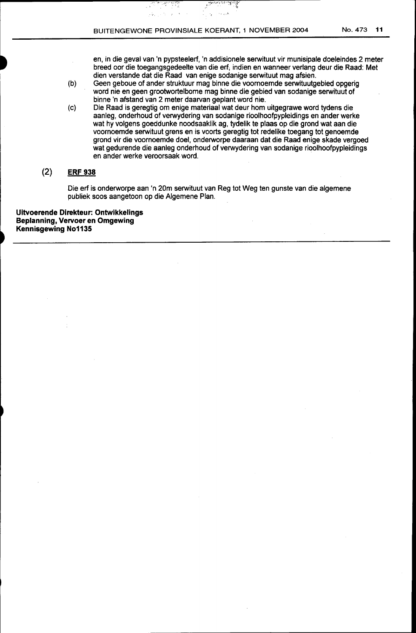$\frac{1}{2}$   $\frac{1}{2}$ 

ŋ

 $\bar{\lambda}$ 

iji s

 $\sim 7$ 

en, in die geval van 'n pypsteelerf, 'n addisionele serwituut vir munisipale doeleindes 2 meter breed oor die toegangsgedeelte van die erfi indien en wanneer verlang deur die Raad: Met dien verstande dat die Raad van enige sodanige serwituut mag afsien.

., ,.:..

ैं

- (b) Geen geboue of ander struktuur mag binne die voornoemde serwituutgebied opgerig word nie en geen grootwortelbome mag binne die gebied van sodanige serwituut of binne 'n afstand van 2 meter daarvan geplant word nie.
- (c) Die Raad is geregtig om enige materiaal wat deur hom uitgegrawe word tydens die aanleg, onderhoud of verwydering van sodanige rioolhoofpypleidings en ander werke wat hy volgens goeddunke noodsaaklik ag, tydelik te plaas op die grond wat aan die voornoemde serwituut grens en is voorts geregtig tot redelike toegang tot genoemde grond vir die voornoemde doel, onderworpe daaraan dat die Raad enige skade vergoed wat gedurende die aanleg onderhoud of verwydering van sodanige rioolhoofpypleidings en ander werke veroorsaak word.

# (2) **ERF 938**

Die erf is onderworpe aan 'n 20m serwituut van Reg tot Weg ten gunste van die algemene publiek soos aangetoon op die Algemene Plan.

**Uitvoerende Direkteur: Ontwikkelings Beplanning, Vervoer en Omgewing Kennisgewing No1135**